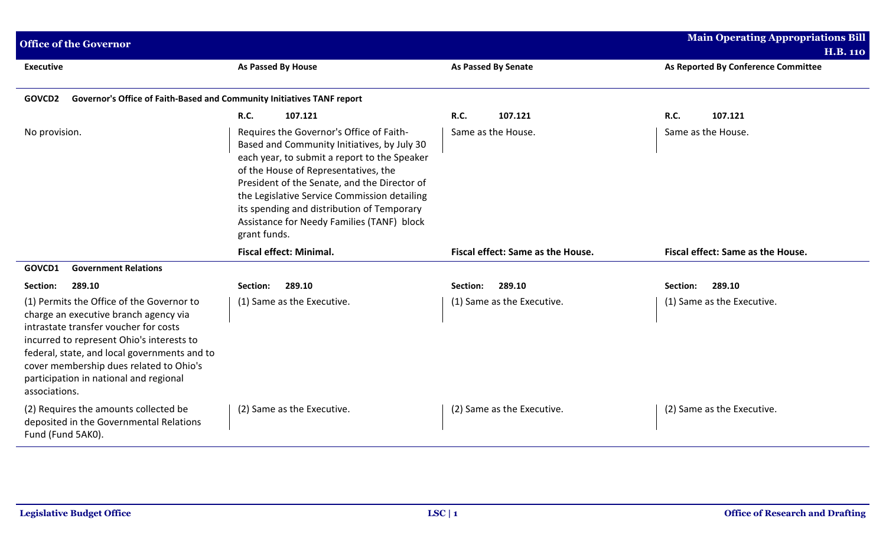| <b>Office of the Governor</b>                                                                                                                                                                                                                                                                                                  |                                                                                                                                                                                                                                                                                                                                                                                             |                                   | <b>Main Operating Appropriations Bill</b><br><b>H.B. 110</b> |
|--------------------------------------------------------------------------------------------------------------------------------------------------------------------------------------------------------------------------------------------------------------------------------------------------------------------------------|---------------------------------------------------------------------------------------------------------------------------------------------------------------------------------------------------------------------------------------------------------------------------------------------------------------------------------------------------------------------------------------------|-----------------------------------|--------------------------------------------------------------|
| <b>Executive</b>                                                                                                                                                                                                                                                                                                               | As Passed By House                                                                                                                                                                                                                                                                                                                                                                          | <b>As Passed By Senate</b>        | As Reported By Conference Committee                          |
| Governor's Office of Faith-Based and Community Initiatives TANF report<br>GOVCD2                                                                                                                                                                                                                                               |                                                                                                                                                                                                                                                                                                                                                                                             |                                   |                                                              |
|                                                                                                                                                                                                                                                                                                                                | <b>R.C.</b><br>107.121                                                                                                                                                                                                                                                                                                                                                                      | R.C.<br>107.121                   | R.C.<br>107.121                                              |
| No provision.                                                                                                                                                                                                                                                                                                                  | Requires the Governor's Office of Faith-<br>Based and Community Initiatives, by July 30<br>each year, to submit a report to the Speaker<br>of the House of Representatives, the<br>President of the Senate, and the Director of<br>the Legislative Service Commission detailing<br>its spending and distribution of Temporary<br>Assistance for Needy Families (TANF) block<br>grant funds. | Same as the House.                | Same as the House.                                           |
|                                                                                                                                                                                                                                                                                                                                | <b>Fiscal effect: Minimal.</b>                                                                                                                                                                                                                                                                                                                                                              | Fiscal effect: Same as the House. | Fiscal effect: Same as the House.                            |
| GOVCD1<br><b>Government Relations</b>                                                                                                                                                                                                                                                                                          |                                                                                                                                                                                                                                                                                                                                                                                             |                                   |                                                              |
| Section:<br>289.10                                                                                                                                                                                                                                                                                                             | 289.10<br>Section:                                                                                                                                                                                                                                                                                                                                                                          | 289.10<br>Section:                | 289.10<br>Section:                                           |
| (1) Permits the Office of the Governor to<br>charge an executive branch agency via<br>intrastate transfer voucher for costs<br>incurred to represent Ohio's interests to<br>federal, state, and local governments and to<br>cover membership dues related to Ohio's<br>participation in national and regional<br>associations. | (1) Same as the Executive.                                                                                                                                                                                                                                                                                                                                                                  | (1) Same as the Executive.        | (1) Same as the Executive.                                   |
| (2) Requires the amounts collected be<br>deposited in the Governmental Relations<br>Fund (Fund 5AK0).                                                                                                                                                                                                                          | (2) Same as the Executive.                                                                                                                                                                                                                                                                                                                                                                  | (2) Same as the Executive.        | (2) Same as the Executive.                                   |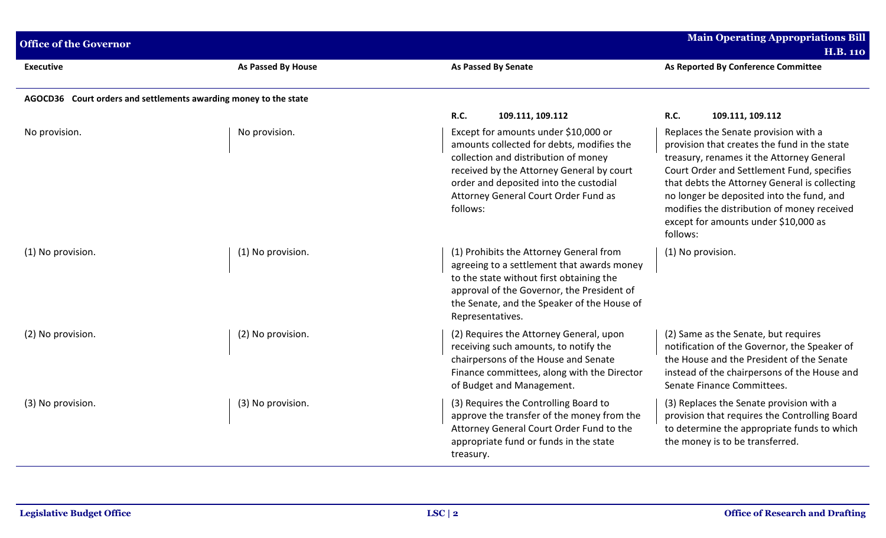| <b>Office of the Governor</b> |                                                                  |                                                                                                                                                                                                                                                                      | <b>Main Operating Appropriations Bill</b><br><b>H.B. 110</b>                                                                                                                                                                                                                                                                                                                     |
|-------------------------------|------------------------------------------------------------------|----------------------------------------------------------------------------------------------------------------------------------------------------------------------------------------------------------------------------------------------------------------------|----------------------------------------------------------------------------------------------------------------------------------------------------------------------------------------------------------------------------------------------------------------------------------------------------------------------------------------------------------------------------------|
| Executive                     | As Passed By House                                               | <b>As Passed By Senate</b>                                                                                                                                                                                                                                           | As Reported By Conference Committee                                                                                                                                                                                                                                                                                                                                              |
|                               | AGOCD36 Court orders and settlements awarding money to the state |                                                                                                                                                                                                                                                                      |                                                                                                                                                                                                                                                                                                                                                                                  |
|                               |                                                                  | <b>R.C.</b><br>109.111, 109.112                                                                                                                                                                                                                                      | R.C.<br>109.111, 109.112                                                                                                                                                                                                                                                                                                                                                         |
| No provision.                 | No provision.                                                    | Except for amounts under \$10,000 or<br>amounts collected for debts, modifies the<br>collection and distribution of money<br>received by the Attorney General by court<br>order and deposited into the custodial<br>Attorney General Court Order Fund as<br>follows: | Replaces the Senate provision with a<br>provision that creates the fund in the state<br>treasury, renames it the Attorney General<br>Court Order and Settlement Fund, specifies<br>that debts the Attorney General is collecting<br>no longer be deposited into the fund, and<br>modifies the distribution of money received<br>except for amounts under \$10,000 as<br>follows: |
| (1) No provision.             | (1) No provision.                                                | (1) Prohibits the Attorney General from<br>agreeing to a settlement that awards money<br>to the state without first obtaining the<br>approval of the Governor, the President of<br>the Senate, and the Speaker of the House of<br>Representatives.                   | (1) No provision.                                                                                                                                                                                                                                                                                                                                                                |
| (2) No provision.             | (2) No provision.                                                | (2) Requires the Attorney General, upon<br>receiving such amounts, to notify the<br>chairpersons of the House and Senate<br>Finance committees, along with the Director<br>of Budget and Management.                                                                 | (2) Same as the Senate, but requires<br>notification of the Governor, the Speaker of<br>the House and the President of the Senate<br>instead of the chairpersons of the House and<br>Senate Finance Committees.                                                                                                                                                                  |
| (3) No provision.             | (3) No provision.                                                | (3) Requires the Controlling Board to<br>approve the transfer of the money from the<br>Attorney General Court Order Fund to the<br>appropriate fund or funds in the state<br>treasury.                                                                               | (3) Replaces the Senate provision with a<br>provision that requires the Controlling Board<br>to determine the appropriate funds to which<br>the money is to be transferred.                                                                                                                                                                                                      |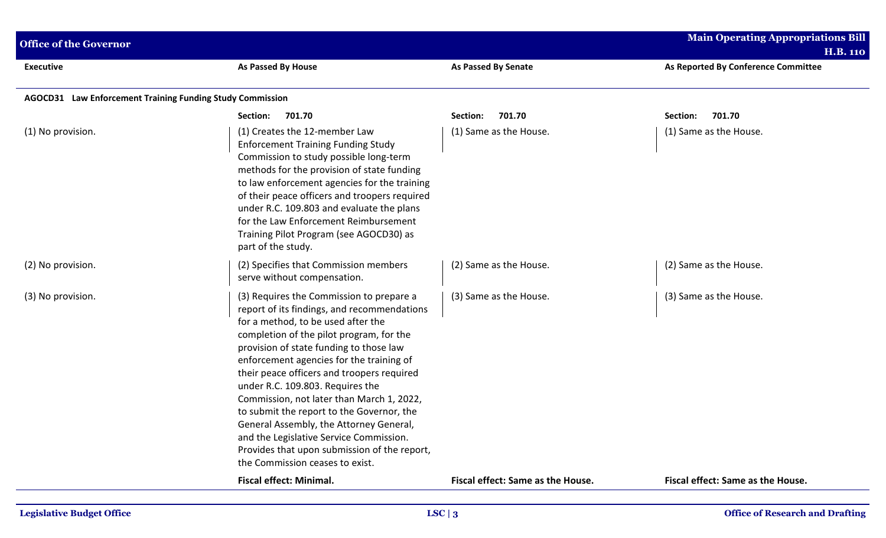| <b>Office of the Governor</b>                             |                                                                                                                                                                                                                                                                                                                                                                                                                                                                                                                                                                                                                       |                                   | <b>Main Operating Appropriations Bill</b><br><b>H.B. 110</b> |
|-----------------------------------------------------------|-----------------------------------------------------------------------------------------------------------------------------------------------------------------------------------------------------------------------------------------------------------------------------------------------------------------------------------------------------------------------------------------------------------------------------------------------------------------------------------------------------------------------------------------------------------------------------------------------------------------------|-----------------------------------|--------------------------------------------------------------|
| <b>Executive</b>                                          | As Passed By House                                                                                                                                                                                                                                                                                                                                                                                                                                                                                                                                                                                                    | <b>As Passed By Senate</b>        | As Reported By Conference Committee                          |
| AGOCD31 Law Enforcement Training Funding Study Commission |                                                                                                                                                                                                                                                                                                                                                                                                                                                                                                                                                                                                                       |                                   |                                                              |
|                                                           | 701.70<br>Section:                                                                                                                                                                                                                                                                                                                                                                                                                                                                                                                                                                                                    | 701.70<br>Section:                | 701.70<br>Section:                                           |
| (1) No provision.                                         | (1) Creates the 12-member Law<br><b>Enforcement Training Funding Study</b><br>Commission to study possible long-term<br>methods for the provision of state funding<br>to law enforcement agencies for the training<br>of their peace officers and troopers required<br>under R.C. 109.803 and evaluate the plans<br>for the Law Enforcement Reimbursement<br>Training Pilot Program (see AGOCD30) as<br>part of the study.                                                                                                                                                                                            | (1) Same as the House.            | (1) Same as the House.                                       |
| (2) No provision.                                         | (2) Specifies that Commission members<br>serve without compensation.                                                                                                                                                                                                                                                                                                                                                                                                                                                                                                                                                  | (2) Same as the House.            | (2) Same as the House.                                       |
| (3) No provision.                                         | (3) Requires the Commission to prepare a<br>report of its findings, and recommendations<br>for a method, to be used after the<br>completion of the pilot program, for the<br>provision of state funding to those law<br>enforcement agencies for the training of<br>their peace officers and troopers required<br>under R.C. 109.803. Requires the<br>Commission, not later than March 1, 2022,<br>to submit the report to the Governor, the<br>General Assembly, the Attorney General,<br>and the Legislative Service Commission.<br>Provides that upon submission of the report,<br>the Commission ceases to exist. | (3) Same as the House.            | (3) Same as the House.                                       |
|                                                           | <b>Fiscal effect: Minimal.</b>                                                                                                                                                                                                                                                                                                                                                                                                                                                                                                                                                                                        | Fiscal effect: Same as the House. | Fiscal effect: Same as the House.                            |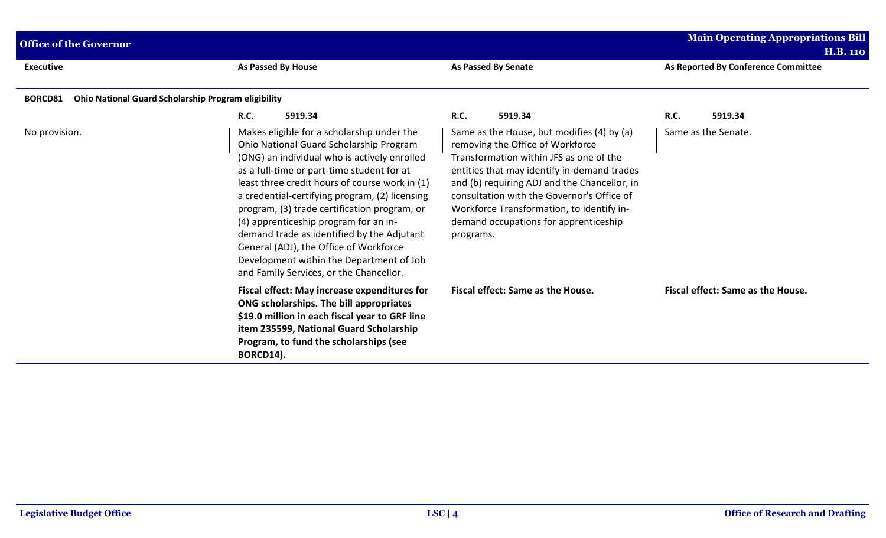| <b>Office of the Governor</b> |                                                                                                                                                                                                                                                                                                                                                                                                                                                                                                                                                                 |                                                                                                                                                                                                                                                                                                                                                                           | <b>Main Operating Appropriations Bill</b><br><b>H.B. 110</b> |
|-------------------------------|-----------------------------------------------------------------------------------------------------------------------------------------------------------------------------------------------------------------------------------------------------------------------------------------------------------------------------------------------------------------------------------------------------------------------------------------------------------------------------------------------------------------------------------------------------------------|---------------------------------------------------------------------------------------------------------------------------------------------------------------------------------------------------------------------------------------------------------------------------------------------------------------------------------------------------------------------------|--------------------------------------------------------------|
| <b>Executive</b>              | As Passed By House                                                                                                                                                                                                                                                                                                                                                                                                                                                                                                                                              | <b>As Passed By Senate</b>                                                                                                                                                                                                                                                                                                                                                | As Reported By Conference Committee                          |
| <b>BORCD81</b>                | <b>Ohio National Guard Scholarship Program eligibility</b>                                                                                                                                                                                                                                                                                                                                                                                                                                                                                                      |                                                                                                                                                                                                                                                                                                                                                                           |                                                              |
|                               | <b>R.C.</b><br>5919.34                                                                                                                                                                                                                                                                                                                                                                                                                                                                                                                                          | <b>R.C.</b><br>5919.34                                                                                                                                                                                                                                                                                                                                                    | R.C.<br>5919.34                                              |
| No provision.                 | Makes eligible for a scholarship under the<br>Ohio National Guard Scholarship Program<br>(ONG) an individual who is actively enrolled<br>as a full-time or part-time student for at<br>least three credit hours of course work in (1)<br>a credential-certifying program, (2) licensing<br>program, (3) trade certification program, or<br>(4) apprenticeship program for an in-<br>demand trade as identified by the Adjutant<br>General (ADJ), the Office of Workforce<br>Development within the Department of Job<br>and Family Services, or the Chancellor. | Same as the House, but modifies (4) by (a)<br>removing the Office of Workforce<br>Transformation within JFS as one of the<br>entities that may identify in-demand trades<br>and (b) requiring ADJ and the Chancellor, in<br>consultation with the Governor's Office of<br>Workforce Transformation, to identify in-<br>demand occupations for apprenticeship<br>programs. | Same as the Senate.                                          |
|                               | Fiscal effect: May increase expenditures for<br>ONG scholarships. The bill appropriates<br>\$19.0 million in each fiscal year to GRF line<br>item 235599, National Guard Scholarship<br>Program, to fund the scholarships (see<br>BORCD14).                                                                                                                                                                                                                                                                                                                     | Fiscal effect: Same as the House.                                                                                                                                                                                                                                                                                                                                         | Fiscal effect: Same as the House.                            |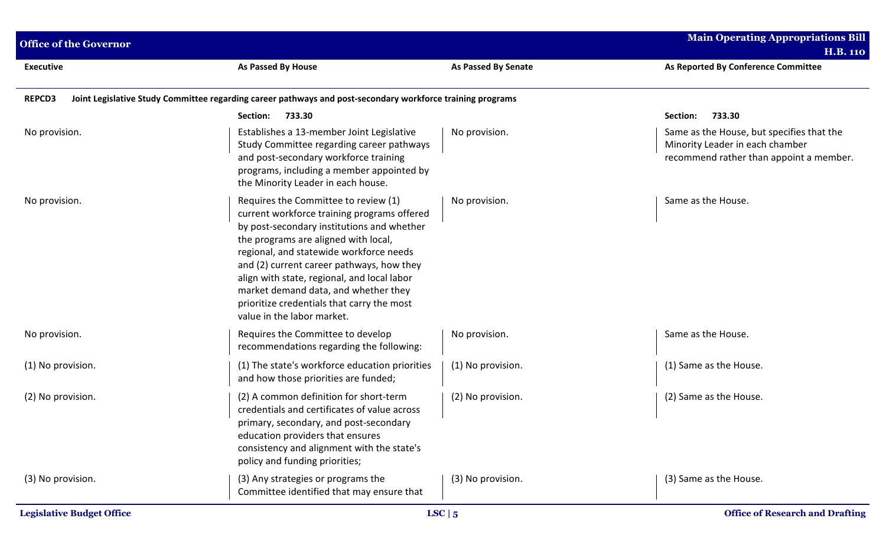| <b>Office of the Governor</b> |                                                                                                                                                                                                                                                                                                                                                                                                                                      |                     | <b>Main Operating Appropriations Bill</b>                                                                               |
|-------------------------------|--------------------------------------------------------------------------------------------------------------------------------------------------------------------------------------------------------------------------------------------------------------------------------------------------------------------------------------------------------------------------------------------------------------------------------------|---------------------|-------------------------------------------------------------------------------------------------------------------------|
| <b>Executive</b>              | As Passed By House                                                                                                                                                                                                                                                                                                                                                                                                                   | As Passed By Senate | <b>H.B. 110</b><br>As Reported By Conference Committee                                                                  |
| <b>REPCD3</b>                 | Joint Legislative Study Committee regarding career pathways and post-secondary workforce training programs                                                                                                                                                                                                                                                                                                                           |                     |                                                                                                                         |
|                               | 733.30<br>Section:                                                                                                                                                                                                                                                                                                                                                                                                                   |                     | 733.30<br>Section:                                                                                                      |
| No provision.                 | Establishes a 13-member Joint Legislative<br>Study Committee regarding career pathways<br>and post-secondary workforce training<br>programs, including a member appointed by<br>the Minority Leader in each house.                                                                                                                                                                                                                   | No provision.       | Same as the House, but specifies that the<br>Minority Leader in each chamber<br>recommend rather than appoint a member. |
| No provision.                 | Requires the Committee to review (1)<br>current workforce training programs offered<br>by post-secondary institutions and whether<br>the programs are aligned with local,<br>regional, and statewide workforce needs<br>and (2) current career pathways, how they<br>align with state, regional, and local labor<br>market demand data, and whether they<br>prioritize credentials that carry the most<br>value in the labor market. | No provision.       | Same as the House.                                                                                                      |
| No provision.                 | Requires the Committee to develop<br>recommendations regarding the following:                                                                                                                                                                                                                                                                                                                                                        | No provision.       | Same as the House.                                                                                                      |
| (1) No provision.             | (1) The state's workforce education priorities<br>and how those priorities are funded;                                                                                                                                                                                                                                                                                                                                               | (1) No provision.   | (1) Same as the House.                                                                                                  |
| (2) No provision.             | (2) A common definition for short-term<br>credentials and certificates of value across<br>primary, secondary, and post-secondary<br>education providers that ensures<br>consistency and alignment with the state's<br>policy and funding priorities;                                                                                                                                                                                 | (2) No provision.   | (2) Same as the House.                                                                                                  |
| (3) No provision.             | (3) Any strategies or programs the<br>Committee identified that may ensure that                                                                                                                                                                                                                                                                                                                                                      | (3) No provision.   | (3) Same as the House.                                                                                                  |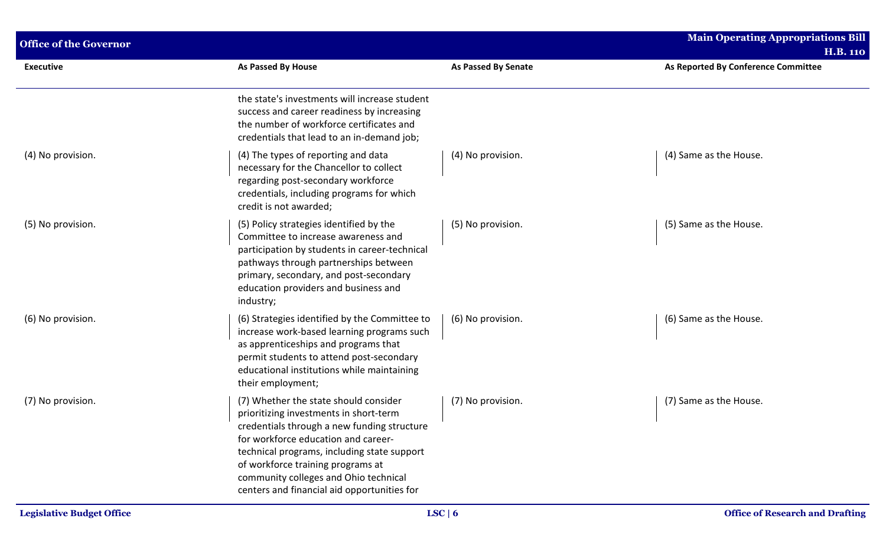| <b>Office of the Governor</b> |                                                                                                                                                                                                                                                                                                                                                   |                            | <b>Main Operating Appropriations Bill</b><br><b>H.B. 110</b> |
|-------------------------------|---------------------------------------------------------------------------------------------------------------------------------------------------------------------------------------------------------------------------------------------------------------------------------------------------------------------------------------------------|----------------------------|--------------------------------------------------------------|
| <b>Executive</b>              | As Passed By House                                                                                                                                                                                                                                                                                                                                | <b>As Passed By Senate</b> | As Reported By Conference Committee                          |
|                               | the state's investments will increase student<br>success and career readiness by increasing<br>the number of workforce certificates and<br>credentials that lead to an in-demand job;                                                                                                                                                             |                            |                                                              |
| (4) No provision.             | (4) The types of reporting and data<br>necessary for the Chancellor to collect<br>regarding post-secondary workforce<br>credentials, including programs for which<br>credit is not awarded;                                                                                                                                                       | (4) No provision.          | (4) Same as the House.                                       |
| (5) No provision.             | (5) Policy strategies identified by the<br>Committee to increase awareness and<br>participation by students in career-technical<br>pathways through partnerships between<br>primary, secondary, and post-secondary<br>education providers and business and<br>industry;                                                                           | (5) No provision.          | (5) Same as the House.                                       |
| (6) No provision.             | (6) Strategies identified by the Committee to<br>increase work-based learning programs such<br>as apprenticeships and programs that<br>permit students to attend post-secondary<br>educational institutions while maintaining<br>their employment;                                                                                                | (6) No provision.          | (6) Same as the House.                                       |
| (7) No provision.             | (7) Whether the state should consider<br>prioritizing investments in short-term<br>credentials through a new funding structure<br>for workforce education and career-<br>technical programs, including state support<br>of workforce training programs at<br>community colleges and Ohio technical<br>centers and financial aid opportunities for | (7) No provision.          | (7) Same as the House.                                       |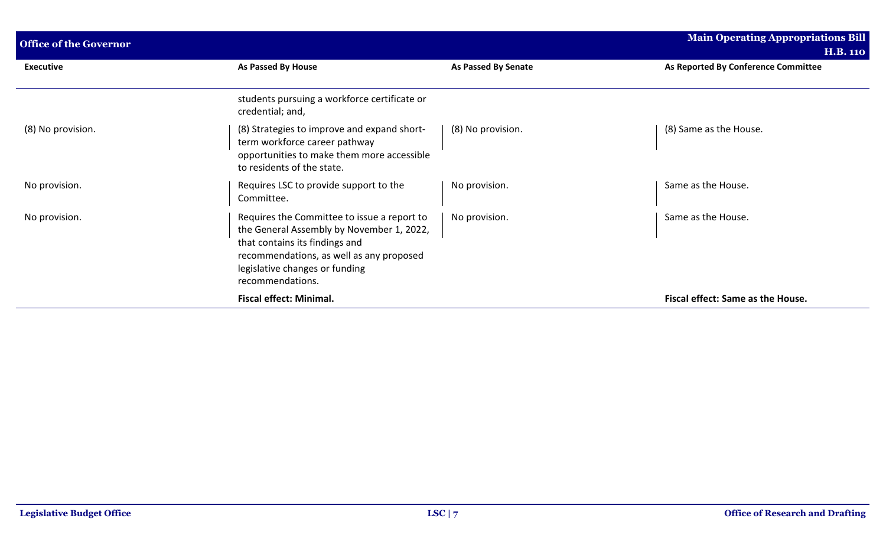| <b>Office of the Governor</b> |                                                                                                                                                                                                                              |                            | Main Operating Appropriations Bill  |
|-------------------------------|------------------------------------------------------------------------------------------------------------------------------------------------------------------------------------------------------------------------------|----------------------------|-------------------------------------|
|                               |                                                                                                                                                                                                                              |                            | <b>H.B. 110</b>                     |
| <b>Executive</b>              | As Passed By House                                                                                                                                                                                                           | <b>As Passed By Senate</b> | As Reported By Conference Committee |
|                               | students pursuing a workforce certificate or<br>credential; and,                                                                                                                                                             |                            |                                     |
| (8) No provision.             | (8) Strategies to improve and expand short-<br>term workforce career pathway<br>opportunities to make them more accessible<br>to residents of the state.                                                                     | (8) No provision.          | (8) Same as the House.              |
| No provision.                 | Requires LSC to provide support to the<br>Committee.                                                                                                                                                                         | No provision.              | Same as the House.                  |
| No provision.                 | Requires the Committee to issue a report to<br>the General Assembly by November 1, 2022,<br>that contains its findings and<br>recommendations, as well as any proposed<br>legislative changes or funding<br>recommendations. | No provision.              | Same as the House.                  |
|                               | <b>Fiscal effect: Minimal.</b>                                                                                                                                                                                               |                            | Fiscal effect: Same as the House.   |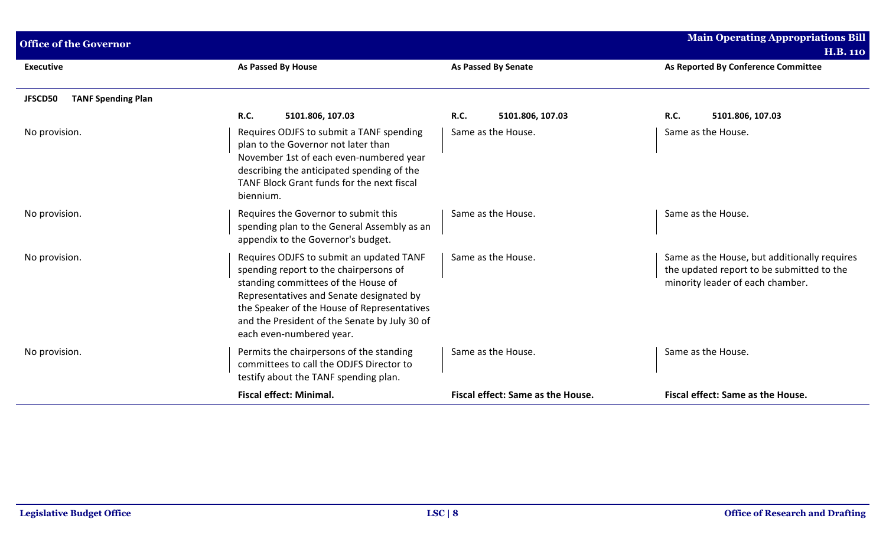| <b>Office of the Governor</b>        |                                                                                                                                                                                                                                                                                                   |                                   | <b>Main Operating Appropriations Bill</b><br><b>H.B. 110</b>                                                                  |
|--------------------------------------|---------------------------------------------------------------------------------------------------------------------------------------------------------------------------------------------------------------------------------------------------------------------------------------------------|-----------------------------------|-------------------------------------------------------------------------------------------------------------------------------|
| <b>Executive</b>                     | <b>As Passed By House</b>                                                                                                                                                                                                                                                                         | <b>As Passed By Senate</b>        | As Reported By Conference Committee                                                                                           |
| <b>TANF Spending Plan</b><br>JFSCD50 |                                                                                                                                                                                                                                                                                                   |                                   |                                                                                                                               |
|                                      | <b>R.C.</b><br>5101.806, 107.03                                                                                                                                                                                                                                                                   | R.C.<br>5101.806, 107.03          | <b>R.C.</b><br>5101.806, 107.03                                                                                               |
| No provision.                        | Requires ODJFS to submit a TANF spending<br>plan to the Governor not later than<br>November 1st of each even-numbered year<br>describing the anticipated spending of the<br>TANF Block Grant funds for the next fiscal<br>biennium.                                                               | Same as the House.                | Same as the House.                                                                                                            |
| No provision.                        | Requires the Governor to submit this<br>spending plan to the General Assembly as an<br>appendix to the Governor's budget.                                                                                                                                                                         | Same as the House.                | Same as the House.                                                                                                            |
| No provision.                        | Requires ODJFS to submit an updated TANF<br>spending report to the chairpersons of<br>standing committees of the House of<br>Representatives and Senate designated by<br>the Speaker of the House of Representatives<br>and the President of the Senate by July 30 of<br>each even-numbered year. | Same as the House.                | Same as the House, but additionally requires<br>the updated report to be submitted to the<br>minority leader of each chamber. |
| No provision.                        | Permits the chairpersons of the standing<br>committees to call the ODJFS Director to<br>testify about the TANF spending plan.                                                                                                                                                                     | Same as the House.                | Same as the House.                                                                                                            |
|                                      | <b>Fiscal effect: Minimal.</b>                                                                                                                                                                                                                                                                    | Fiscal effect: Same as the House. | Fiscal effect: Same as the House.                                                                                             |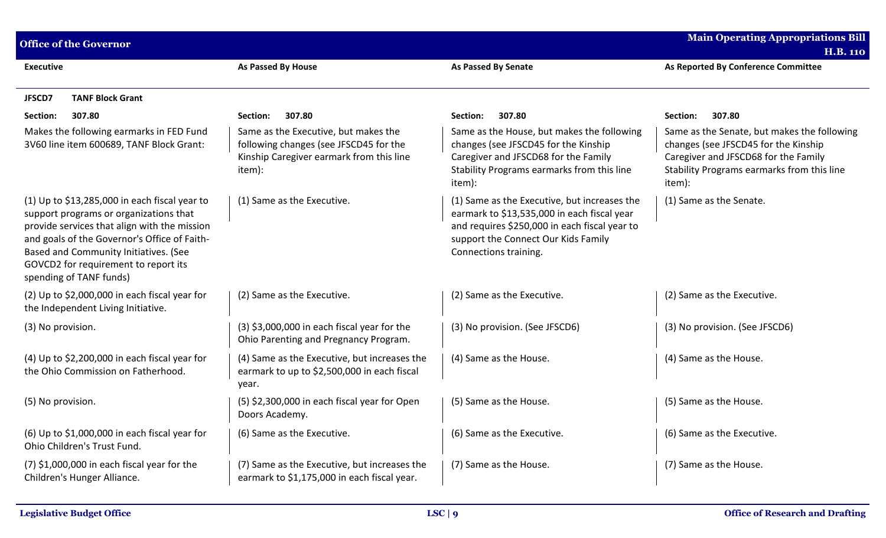| <b>Office of the Governor</b>                                                                                                                                                                                                                                                                       |                                                                                                                                      |                                                                                                                                                                                                              | <b>Main Operating Appropriations Bill</b>                                                                                                                                           |
|-----------------------------------------------------------------------------------------------------------------------------------------------------------------------------------------------------------------------------------------------------------------------------------------------------|--------------------------------------------------------------------------------------------------------------------------------------|--------------------------------------------------------------------------------------------------------------------------------------------------------------------------------------------------------------|-------------------------------------------------------------------------------------------------------------------------------------------------------------------------------------|
| <b>Executive</b>                                                                                                                                                                                                                                                                                    | As Passed By House                                                                                                                   | <b>As Passed By Senate</b>                                                                                                                                                                                   | <b>H.B. 110</b><br>As Reported By Conference Committee                                                                                                                              |
|                                                                                                                                                                                                                                                                                                     |                                                                                                                                      |                                                                                                                                                                                                              |                                                                                                                                                                                     |
| <b>TANF Block Grant</b><br>JFSCD7                                                                                                                                                                                                                                                                   |                                                                                                                                      |                                                                                                                                                                                                              |                                                                                                                                                                                     |
| 307.80<br>Section:                                                                                                                                                                                                                                                                                  | 307.80<br>Section:                                                                                                                   | 307.80<br>Section:                                                                                                                                                                                           | 307.80<br>Section:                                                                                                                                                                  |
| Makes the following earmarks in FED Fund<br>3V60 line item 600689, TANF Block Grant:                                                                                                                                                                                                                | Same as the Executive, but makes the<br>following changes (see JFSCD45 for the<br>Kinship Caregiver earmark from this line<br>item): | Same as the House, but makes the following<br>changes (see JFSCD45 for the Kinship<br>Caregiver and JFSCD68 for the Family<br>Stability Programs earmarks from this line<br>item):                           | Same as the Senate, but makes the following<br>changes (see JFSCD45 for the Kinship<br>Caregiver and JFSCD68 for the Family<br>Stability Programs earmarks from this line<br>item): |
| (1) Up to \$13,285,000 in each fiscal year to<br>support programs or organizations that<br>provide services that align with the mission<br>and goals of the Governor's Office of Faith-<br>Based and Community Initiatives. (See<br>GOVCD2 for requirement to report its<br>spending of TANF funds) | (1) Same as the Executive.                                                                                                           | (1) Same as the Executive, but increases the<br>earmark to \$13,535,000 in each fiscal year<br>and requires \$250,000 in each fiscal year to<br>support the Connect Our Kids Family<br>Connections training. | (1) Same as the Senate.                                                                                                                                                             |
| (2) Up to $$2,000,000$ in each fiscal year for<br>the Independent Living Initiative.                                                                                                                                                                                                                | (2) Same as the Executive.                                                                                                           | (2) Same as the Executive.                                                                                                                                                                                   | (2) Same as the Executive.                                                                                                                                                          |
| (3) No provision.                                                                                                                                                                                                                                                                                   | $(3)$ \$3,000,000 in each fiscal year for the<br>Ohio Parenting and Pregnancy Program.                                               | (3) No provision. (See JFSCD6)                                                                                                                                                                               | (3) No provision. (See JFSCD6)                                                                                                                                                      |
| (4) Up to \$2,200,000 in each fiscal year for<br>the Ohio Commission on Fatherhood.                                                                                                                                                                                                                 | (4) Same as the Executive, but increases the<br>earmark to up to \$2,500,000 in each fiscal<br>year.                                 | (4) Same as the House.                                                                                                                                                                                       | (4) Same as the House.                                                                                                                                                              |
| (5) No provision.                                                                                                                                                                                                                                                                                   | (5) \$2,300,000 in each fiscal year for Open<br>Doors Academy.                                                                       | (5) Same as the House.                                                                                                                                                                                       | (5) Same as the House.                                                                                                                                                              |
| (6) Up to \$1,000,000 in each fiscal year for<br>Ohio Children's Trust Fund.                                                                                                                                                                                                                        | (6) Same as the Executive.                                                                                                           | (6) Same as the Executive.                                                                                                                                                                                   | (6) Same as the Executive.                                                                                                                                                          |
| $(7)$ \$1,000,000 in each fiscal year for the<br>Children's Hunger Alliance.                                                                                                                                                                                                                        | (7) Same as the Executive, but increases the<br>earmark to \$1,175,000 in each fiscal year.                                          | (7) Same as the House.                                                                                                                                                                                       | (7) Same as the House.                                                                                                                                                              |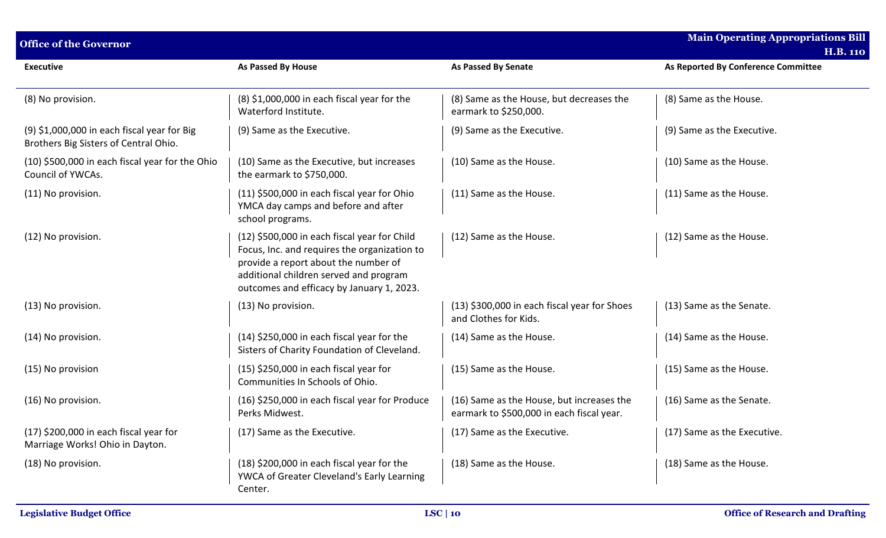| <b>Office of the Governor</b>                                                        |                                                                                                                                                                                                                             |                                                                                        | <b>Main Operating Appropriations Bill</b><br><b>H.B. 110</b> |  |
|--------------------------------------------------------------------------------------|-----------------------------------------------------------------------------------------------------------------------------------------------------------------------------------------------------------------------------|----------------------------------------------------------------------------------------|--------------------------------------------------------------|--|
| <b>Executive</b>                                                                     | <b>As Passed By House</b>                                                                                                                                                                                                   | <b>As Passed By Senate</b>                                                             | As Reported By Conference Committee                          |  |
| (8) No provision.                                                                    | $(8)$ \$1,000,000 in each fiscal year for the<br>Waterford Institute.                                                                                                                                                       | (8) Same as the House, but decreases the<br>earmark to \$250,000.                      | (8) Same as the House.                                       |  |
| (9) \$1,000,000 in each fiscal year for Big<br>Brothers Big Sisters of Central Ohio. | (9) Same as the Executive.                                                                                                                                                                                                  | (9) Same as the Executive.                                                             | (9) Same as the Executive.                                   |  |
| (10) \$500,000 in each fiscal year for the Ohio<br>Council of YWCAs.                 | (10) Same as the Executive, but increases<br>the earmark to \$750,000.                                                                                                                                                      | (10) Same as the House.                                                                | (10) Same as the House.                                      |  |
| (11) No provision.                                                                   | (11) \$500,000 in each fiscal year for Ohio<br>YMCA day camps and before and after<br>school programs.                                                                                                                      | (11) Same as the House.                                                                | (11) Same as the House.                                      |  |
| (12) No provision.                                                                   | (12) \$500,000 in each fiscal year for Child<br>Focus, Inc. and requires the organization to<br>provide a report about the number of<br>additional children served and program<br>outcomes and efficacy by January 1, 2023. | (12) Same as the House.                                                                | (12) Same as the House.                                      |  |
| (13) No provision.                                                                   | (13) No provision.                                                                                                                                                                                                          | (13) \$300,000 in each fiscal year for Shoes<br>and Clothes for Kids.                  | (13) Same as the Senate.                                     |  |
| (14) No provision.                                                                   | (14) \$250,000 in each fiscal year for the<br>Sisters of Charity Foundation of Cleveland.                                                                                                                                   | (14) Same as the House.                                                                | (14) Same as the House.                                      |  |
| (15) No provision                                                                    | $(15)$ \$250,000 in each fiscal year for<br>Communities In Schools of Ohio.                                                                                                                                                 | (15) Same as the House.                                                                | (15) Same as the House.                                      |  |
| (16) No provision.                                                                   | (16) \$250,000 in each fiscal year for Produce<br>Perks Midwest.                                                                                                                                                            | (16) Same as the House, but increases the<br>earmark to \$500,000 in each fiscal year. | (16) Same as the Senate.                                     |  |
| $(17)$ \$200,000 in each fiscal year for<br>Marriage Works! Ohio in Dayton.          | (17) Same as the Executive.                                                                                                                                                                                                 | (17) Same as the Executive.                                                            | (17) Same as the Executive.                                  |  |
| (18) No provision.                                                                   | (18) \$200,000 in each fiscal year for the<br>YWCA of Greater Cleveland's Early Learning<br>Center.                                                                                                                         | (18) Same as the House.                                                                | (18) Same as the House.                                      |  |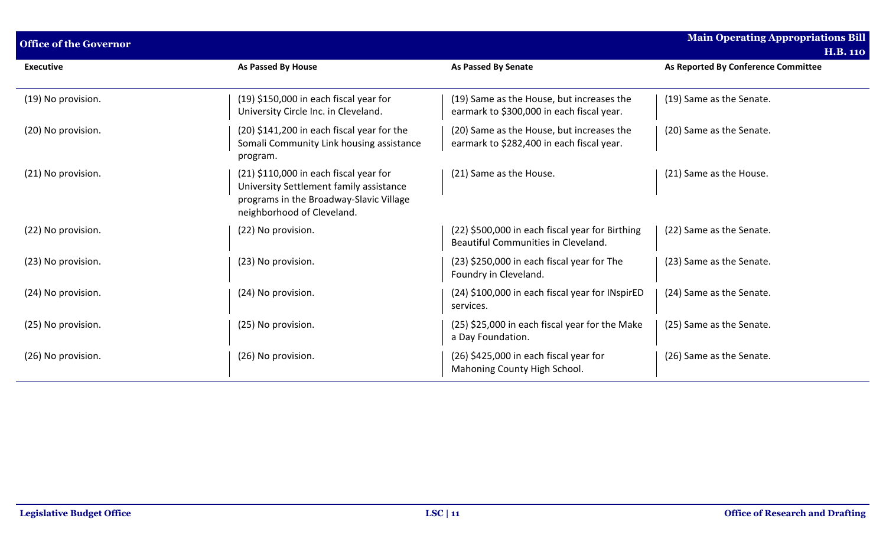| <b>Office of the Governor</b> |                                                                                                                                                              |                                                                                        | <b>Main Operating Appropriations Bill</b> |
|-------------------------------|--------------------------------------------------------------------------------------------------------------------------------------------------------------|----------------------------------------------------------------------------------------|-------------------------------------------|
|                               |                                                                                                                                                              |                                                                                        | <b>H.B. 110</b>                           |
| <b>Executive</b>              | <b>As Passed By House</b>                                                                                                                                    | <b>As Passed By Senate</b>                                                             | As Reported By Conference Committee       |
| (19) No provision.            | (19) \$150,000 in each fiscal year for<br>University Circle Inc. in Cleveland.                                                                               | (19) Same as the House, but increases the<br>earmark to \$300,000 in each fiscal year. | (19) Same as the Senate.                  |
| (20) No provision.            | (20) \$141,200 in each fiscal year for the<br>Somali Community Link housing assistance<br>program.                                                           | (20) Same as the House, but increases the<br>earmark to \$282,400 in each fiscal year. | (20) Same as the Senate.                  |
| (21) No provision.            | $(21)$ \$110,000 in each fiscal year for<br>University Settlement family assistance<br>programs in the Broadway-Slavic Village<br>neighborhood of Cleveland. | (21) Same as the House.                                                                | (21) Same as the House.                   |
| (22) No provision.            | (22) No provision.                                                                                                                                           | (22) \$500,000 in each fiscal year for Birthing<br>Beautiful Communities in Cleveland. | (22) Same as the Senate.                  |
| (23) No provision.            | (23) No provision.                                                                                                                                           | (23) \$250,000 in each fiscal year for The<br>Foundry in Cleveland.                    | (23) Same as the Senate.                  |
| (24) No provision.            | (24) No provision.                                                                                                                                           | (24) \$100,000 in each fiscal year for INspirED<br>services.                           | (24) Same as the Senate.                  |
| (25) No provision.            | (25) No provision.                                                                                                                                           | (25) \$25,000 in each fiscal year for the Make<br>a Day Foundation.                    | (25) Same as the Senate.                  |
| (26) No provision.            | (26) No provision.                                                                                                                                           | (26) \$425,000 in each fiscal year for<br>Mahoning County High School.                 | (26) Same as the Senate.                  |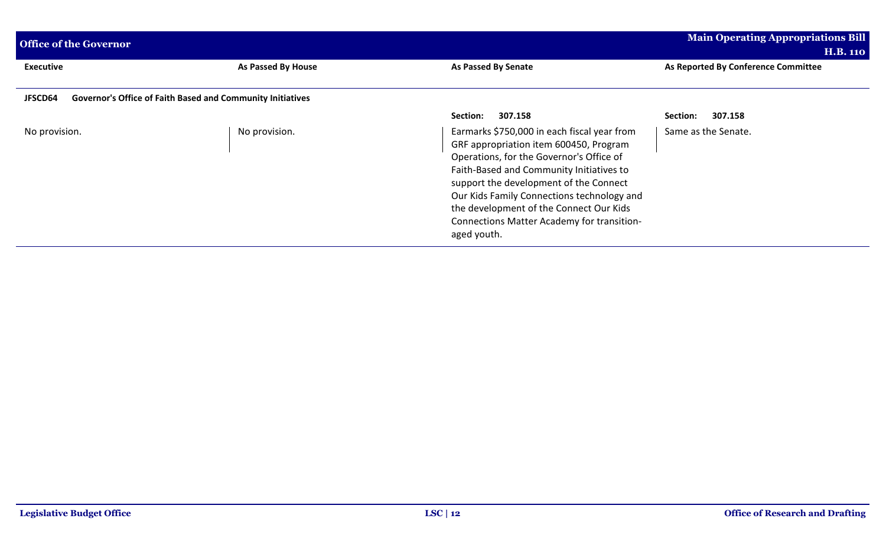| <b>Office of the Governor</b>                                                |                    |                                                                                                                                                                                                                                                                                                                                                                               | <b>Main Operating Appropriations Bill</b><br><b>H.B. 110</b> |
|------------------------------------------------------------------------------|--------------------|-------------------------------------------------------------------------------------------------------------------------------------------------------------------------------------------------------------------------------------------------------------------------------------------------------------------------------------------------------------------------------|--------------------------------------------------------------|
| <b>Executive</b>                                                             | As Passed By House | <b>As Passed By Senate</b>                                                                                                                                                                                                                                                                                                                                                    | As Reported By Conference Committee                          |
| JFSCD64<br><b>Governor's Office of Faith Based and Community Initiatives</b> |                    |                                                                                                                                                                                                                                                                                                                                                                               |                                                              |
|                                                                              |                    | 307.158<br>Section:                                                                                                                                                                                                                                                                                                                                                           | 307.158<br>Section:                                          |
| No provision.                                                                | No provision.      | Earmarks \$750,000 in each fiscal year from<br>GRF appropriation item 600450, Program<br>Operations, for the Governor's Office of<br>Faith-Based and Community Initiatives to<br>support the development of the Connect<br>Our Kids Family Connections technology and<br>the development of the Connect Our Kids<br>Connections Matter Academy for transition-<br>aged youth. | Same as the Senate.                                          |